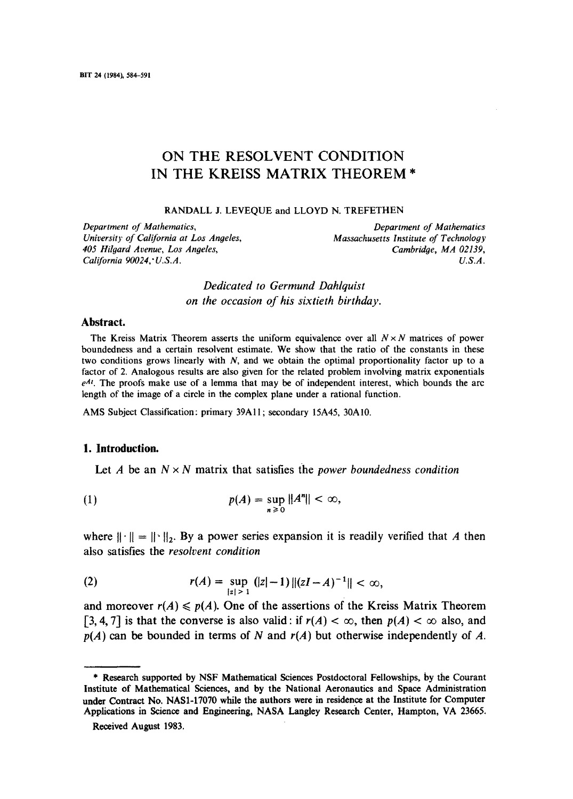# ON THE RESOLVENT CONDITION **IN** THE KREISS MATRIX THEOREM **\***

RANDALL J. LEVEQUE and LLOYD N. TREFETHEN

*Department of Mathematics, Department of Mathematics 405 Hilgard Avenue, Los Angeles, Cambridge, MA 02139, California 90024,'U.S.A. U.S.A.* 

*Massachusetts Institute of Technology Cambridge, MA 02139,* 

*Dedicated to Germund Dahlquist on the occasion of his sixtieth birthday.* 

### **Abstract.**

The Kreiss Matrix Theorem asserts the uniform equivalence over all  $N \times N$  matrices of power boundedness and a certain resolvent estimate. We show that the ratio of the constants in these two conditions grows linearly with  $N$ , and we obtain the optimal proportionality factor up to a factor of 2. Analogous results are also given for the related problem involving matrix exponentials  $e^{At}$ . The proofs make use of a lemma that may be of independent interest, which bounds the arc length of the image of a circle in the complex plane under a rational function.

AMS Subject Classification: primary 39A1 I; secondary 15A45, 30A I0.

### **1. Introduction.**

Let A be an  $N \times N$  matrix that satisfies the *power boundedness condition* 

$$
p(A) = \sup_{n \geq 0} ||A^n|| < \infty,
$$

where  $|| \cdot || = || \cdot ||_2$ . By a power series expansion it is readily verified that A then also satisfies the *resolvent condition* 

(2) 
$$
r(A) = \sup_{|z| > 1} (|z| - 1) ||(zI - A)^{-1}|| < \infty,
$$

and moreover  $r(A) \leqslant p(A)$ . One of the assertions of the Kreiss Matrix Theorem [3, 4, 7] is that the converse is also valid: if  $r(A) < \infty$ , then  $p(A) < \infty$  also, and *p(A)* **can be bounded in terms of N and** *r(A)* **but otherwise independently of A.** 

<sup>\*</sup> Research supported by NSF Mathematical Sciences Postdoctoral Fellowships, by the Courant Institute **of Mathematical Sciences, and by the National Aeronautics and** Space Administration **under Contract No. NAS1-17070 while the authors were in residence at the** Institute for Computer Applications in Science and Engineering, NASA Langley Research Center, Hampton, VA 23665.

Received August 1983.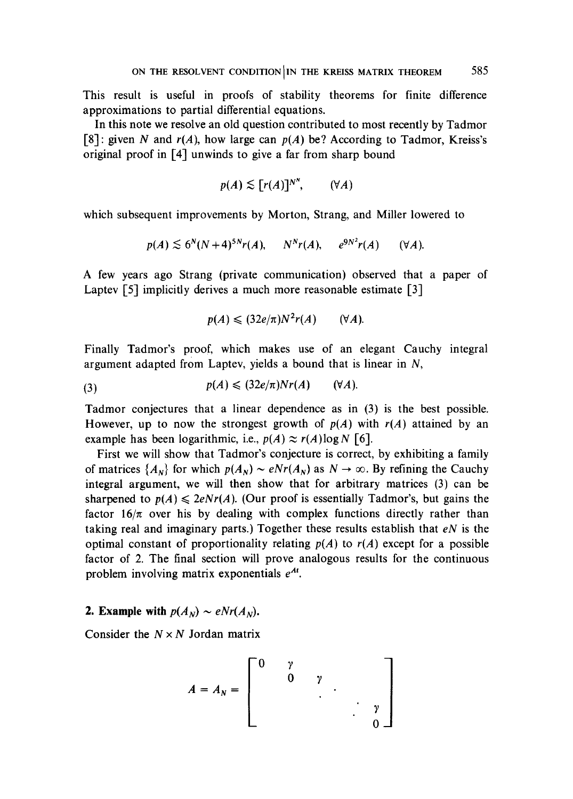This result is useful in proofs of stability theorems for finite difference approximations to partial differential equations.

In this note we resolve an old question contributed to most recently by Tadmor [8]: given N and *r(A),* how large can *p(A)* be? According to Tadmor, Kreiss's original proof in  $[4]$  unwinds to give a far from sharp bound

$$
p(A) \lesssim [r(A)]^{N^N}, \qquad (\forall A)
$$

which subsequent improvements by Morton, Strang, and Miller lowered to

$$
p(A) \lesssim 6^N(N+4)^{5N}r(A), \qquad N^N r(A), \qquad e^{9N^2}r(A) \qquad (\forall A).
$$

A few years ago Strang (private communication) observed that a paper of Laptev [5] implicitly derives a much more reasonable estimate [3]

$$
p(A) \leqslant (32e/\pi)N^2r(A) \qquad (\forall A).
$$

Finally Tadmor's proof, which makes use of an elegant Cauchy integral argument adapted from Laptev, yields a bound that is linear in  $N$ ,

$$
(3) \hspace{1cm} p(A) \leqslant (32e/\pi)Nr(A) \hspace{1cm} (\forall A).
$$

Tadmor conjectures that a linear dependence as in (3) is the best possible. However, up to now the strongest growth of  $p(A)$  with  $r(A)$  attained by an example has been logarithmic, i.e.,  $p(A) \approx r(A) \log N$  [6].

First we will show that Tadmor's conjecture is correct, by exhibiting a family of matrices  $\{A_N\}$  for which  $p(A_N) \sim eNr(A_N)$  as  $N \to \infty$ . By refining the Cauchy integral argument, we will then show that for arbitrary matrices (3) can be sharpened to  $p(A) \leq 2eNr(A)$ . (Our proof is essentially Tadmor's, but gains the factor  $16/\pi$  over his by dealing with complex functions directly rather than taking real and imaginary parts.) Together these results establish that *eN* is the optimal constant of proportionality relating  $p(A)$  to  $r(A)$  except for a possible factor of 2. The final section will prove analogous results for the continuous problem involving matrix exponentials  $e^{At}$ .

## 2. Example with  $p(A_N) \sim eNr(A_N)$ .

Consider the  $N \times N$  Jordan matrix

$$
A = A_N = \begin{bmatrix} 0 & \gamma & & \\ & 0 & \gamma & \\ & & \ddots & \\ & & & \ddots & \\ & & & & 0 \end{bmatrix}
$$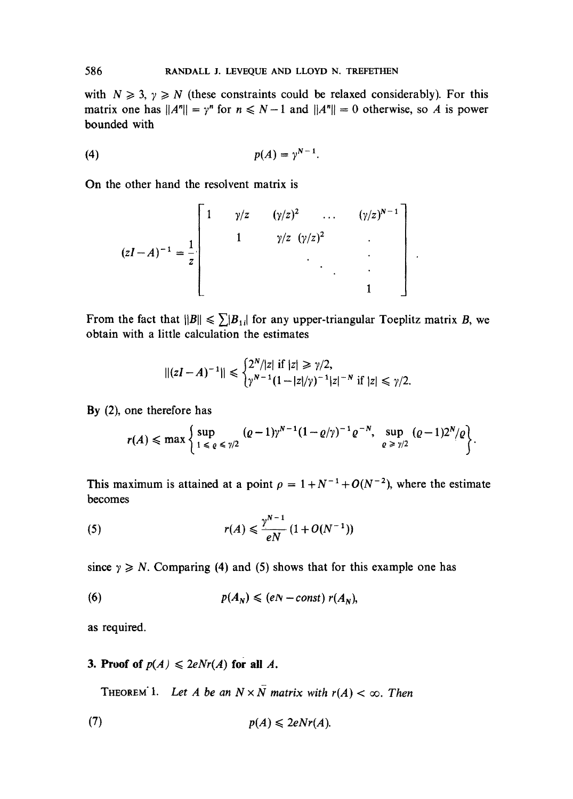with  $N \ge 3$ ,  $\gamma \ge N$  (these constraints could be relaxed considerably). For this matrix one has  $||A^n|| = \gamma^n$  for  $n \le N-1$  and  $||A^n|| = 0$  otherwise, so A is power bounded with

$$
(4) \hspace{3.1em} p(A) = \gamma^{N-1}.
$$

On the other hand the resolvent matrix is

$$
(zI - A)^{-1} = \frac{1}{z}
$$

$$
\begin{bmatrix} 1 & \gamma/z & (\gamma/z)^2 & \dots & (\gamma/z)^{N-1} \\ & 1 & \gamma/z & (\gamma/z)^2 & \dots & \dots \\ & & \ddots & \ddots & \ddots & \vdots \\ & & & 1 & \end{bmatrix}
$$

From the fact that  $||B|| \le \sum |B_{1i}|$  for any upper-triangular Toeplitz matrix B, we obtain with a little calculation the estimates

$$
||(zI - A)^{-1}|| \leq \begin{cases} 2^N/|z| & \text{if } |z| \geq \gamma/2, \\ \gamma^{N-1}(1-|z|/\gamma)^{-1}|z|^{-N} & \text{if } |z| \leq \gamma/2. \end{cases}
$$

By (2), one therefore has

$$
r(A) \leqslant \max\left\{\sup_{1 \leqslant \varrho \leqslant \gamma/2} (\varrho-1)\gamma^{N-1}(1-\varrho/\gamma)^{-1}\varrho^{-N}, \sup_{\varrho \geqslant \gamma/2} (\varrho-1)2^N/\varrho\right\}.
$$

This maximum is attained at a point  $\rho = 1 + N^{-1} + O(N^{-2})$ , where the estimate becomes

(5) 
$$
r(A) \leq \frac{\gamma^{N-1}}{eN} (1 + O(N^{-1}))
$$

since  $\gamma \geq N$ . Comparing (4) and (5) shows that for this example one has

$$
p(A_N) \leqslant (eN - const) r(A_N),
$$

as required.

# 3. Proof of  $p(A) \leq 2eNr(A)$  for all A.

THEOREM 1. Let A be an  $N \times N$  matrix with  $r(A) < \infty$ . Then

$$
p(A) \leqslant 2eNr(A).
$$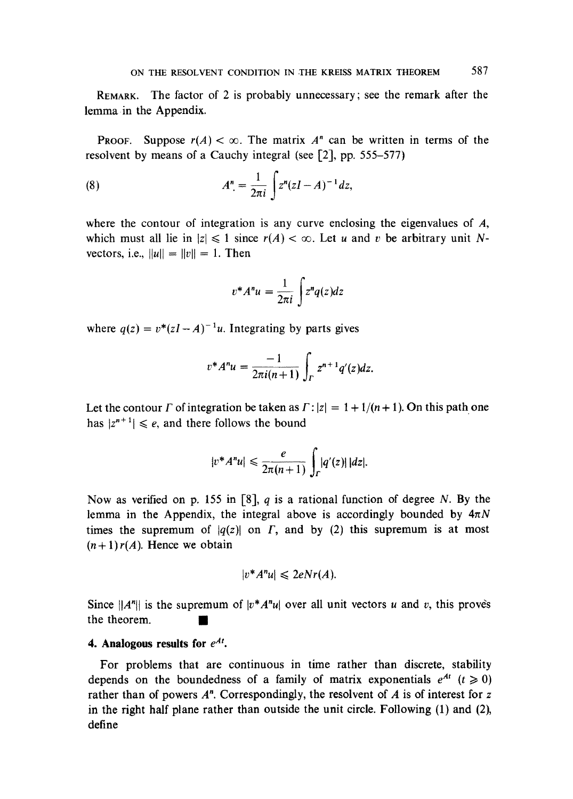REMARK. The factor of 2 is probably unnecessary; see the remark after the lemma in the Appendix.

PROOF. Suppose  $r(A) < \infty$ . The matrix  $A<sup>n</sup>$  can be written in terms of the resolvent by means of a Cauchy integral (see [2], pp, 555-577)

(8) 
$$
A^{n} = \frac{1}{2\pi i} \int z^{n} (zI - A)^{-1} dz,
$$

where the contour of integration is any curve enclosing the eigenvalues of A, which must all lie in  $|z| \leq 1$  since  $r(A) < \infty$ . Let u and v be arbitrary unit Nvectors, i.e.,  $||u|| = ||v|| = 1$ . Then

$$
v^*A^n u = \frac{1}{2\pi i} \int z^n q(z) dz
$$

where  $q(z) = v^*(zI-A)^{-1}u$ . Integrating by parts gives

$$
v^*A^n u = \frac{-1}{2\pi i(n+1)} \int_{\Gamma} z^{n+1} q'(z) dz.
$$

Let the contour  $\Gamma$  of integration be taken as  $\Gamma$ :  $|z| = 1 + 1/(n + 1)$ . On this path one has  $|z^{n+1}| \leq e$ , and there follows the bound

$$
|v^*A^n u| \leq \frac{e}{2\pi(n+1)} \int_{\Gamma} |q'(z)| |dz|.
$$

Now as verified on p. 155 in [8], q is a rational function of degree N. By the lemma in the Appendix, the integral above is accordingly bounded by  $4\pi N$ times the supremum of  $|q(z)|$  on  $\Gamma$ , and by (2) this supremum is at most  $(n+1)r(A)$ . Hence we obtain

$$
|v^*A^n u| \leqslant 2eNr(A).
$$

Since  $||A^n||$  is the supremum of  $|v^*A^n u|$  over all unit vectors u and v, this proves the theorem.

### **4. Analogous results for**  $e^{At}$ **.**

For problems that are continuous in time rather than discrete, stability depends on the boundedness of a family of matrix exponentials  $e^{At}$  ( $t \ge 0$ ) rather than of powers  $A<sup>n</sup>$ . Correspondingly, the resolvent of A is of interest for z in the right half plane rather than outside the unit circle. Following (1) and (2), define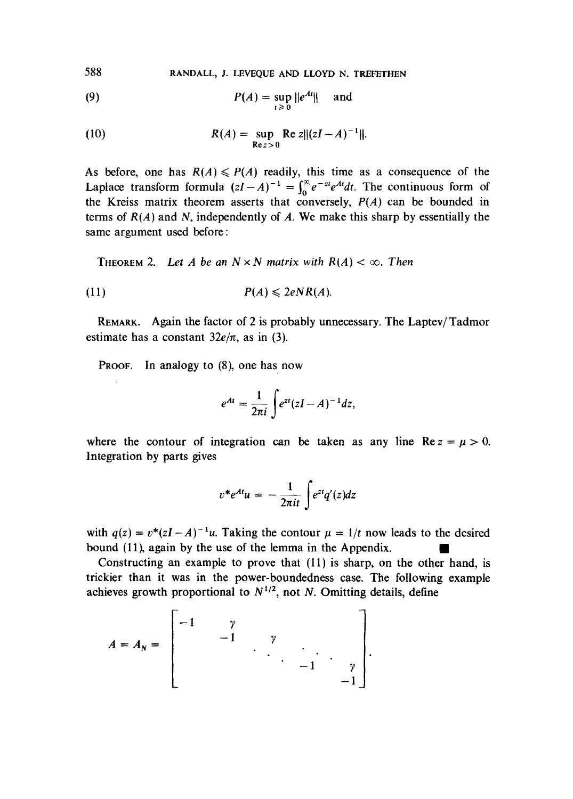588 RANDALL, J. LEVEQUE AND LLOYD N. TREFETHEN

(9) 
$$
P(A) = \sup_{t \ge 0} ||e^{At}|| \quad \text{and}
$$

(10) 
$$
R(A) = \sup_{\text{Re } z > 0} \text{Re } z ||(zI - A)^{-1}||.
$$

As before, one has  $R(A) \leqslant P(A)$  readily, this time as a consequence of the Laplace transform formula  $(zI-A)^{-1} = \int_0^\infty e^{-zt} e^{At} dt$ . The continuous form of the Kreiss matrix theorem asserts that conversely,  $P(A)$  can be bounded in terms of  $R(A)$  and N, independently of A. We make this sharp by essentially the same argument used before:

THEOREM 2. Let A be an  $N \times N$  matrix with  $R(A) < \infty$ . Then

$$
(11) \t\t\t P(A) \leqslant 2eNR(A).
$$

REMARK. Again the factor of 2 is probably unnecessary. The Laptev/Tadmor estimate has a constant  $32e/\pi$ , as in (3).

PROOF. In analogy to (8), one has now

$$
e^{At}=\frac{1}{2\pi i}\int e^{zt}(zI-A)^{-1}dz,
$$

where the contour of integration can be taken as any line  $\text{Re } z = \mu > 0$ . Integration by parts gives

$$
v^*e^{At}u = -\frac{1}{2\pi it}\int e^{zt}q'(z)dz
$$

with  $q(z) = v^*(zI-A)^{-1}u$ . Taking the contour  $\mu = 1/t$  now leads to the desired bound (11), again by the use of the lemma in the Appendix.

Constructing an example to prove that (11) is sharp, on the other hand, is trickier than it was in the power-boundedness case. The following example achieves growth proportional to  $N^{1/2}$ , not N. Omitting details, define

$$
A = A_N = \begin{bmatrix} -1 & \gamma & & & \\ & -1 & \gamma & & \\ & & \ddots & \ddots & \ddots \\ & & & & -1 & \gamma \\ & & & & & -1 \end{bmatrix}.
$$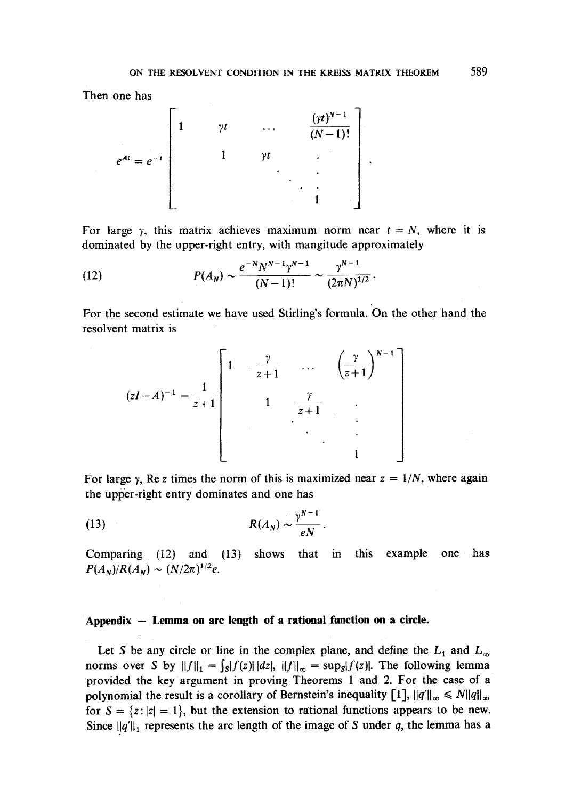Then one has

$$
e^{At} = e^{-t} \begin{bmatrix} 1 & \gamma t & \cdots & \frac{(\gamma t)^{N-1}}{(N-1)!} \\ & 1 & \gamma t & \ddots & \vdots \\ & & & \ddots & \ddots & \vdots \\ & & & & 1 & \end{bmatrix}
$$

For large  $\gamma$ , this matrix achieves maximum norm near  $t = N$ , where it is dominated by the upper-right entry, with mangitude approximately

(12) 
$$
P(A_N) \sim \frac{e^{-N} N^{N-1} \gamma^{N-1}}{(N-1)!} \sim \frac{\gamma^{N-1}}{(2\pi N)^{1/2}}.
$$

For the second estimate we have used Stirling's formula. On the other hand the resolvent matrix is

$$
(zI - A)^{-1} = \frac{1}{z+1} \begin{bmatrix} 1 & \frac{\gamma}{z+1} & \cdots & \left(\frac{\gamma}{z+1}\right)^{N-1} \\ 1 & \frac{\gamma}{z+1} & \cdots & \vdots \\ \vdots & \vdots & \ddots & \vdots \\ 1 & \cdots & \vdots & \ddots \end{bmatrix}
$$

For large y, Re z times the norm of this is maximized near  $z = 1/N$ , where again the upper-right entry dominates and one has

$$
R(A_N) \sim \frac{\gamma^{N-1}}{eN}.
$$

Comparing (12) and (13) shows that in this example one has  $P(A_N)/R(A_N) \sim (N/2\pi)^{1/2}e$ .

### **Appendix - Lemma on arc length of a rational function on a circle.**

Let S be any circle or line in the complex plane, and define the  $L_1$  and  $L_\infty$ norms over S by  $||f||_1 = \int_S |f(z)||dz|$ ,  $||f||_{\infty} = \sup_S |f(z)|$ . The following lemma provided the key argument in proving Theorems 1 and 2. For the case of a polynomial the result is a corollary of Bernstein's inequality  $[1]$ ,  $||q'||_{\infty} \le N||q||_{\infty}$ for  $S = \{z : |z| = 1\}$ , but the extension to rational functions appears to be new. Since  $||q'||_1$  represents the arc length of the image of S under q, the lemma has a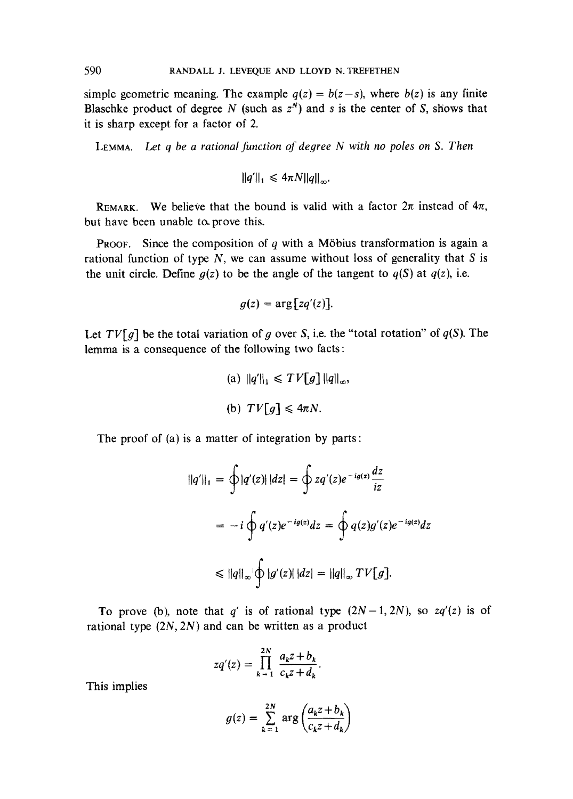simple geometric meaning. The example  $q(z) = b(z-s)$ , where  $b(z)$  is any finite Blaschke product of degree N (such as  $z<sup>N</sup>$ ) and s is the center of S, shows that it is sharp except for a factor of 2.

LEMMA. *Let q be a rational function of degree N with no poles on S. Then* 

$$
||q'||_1 \leq 4\pi N ||q||_{\infty}.
$$

REMARK. We believe that the bound is valid with a factor  $2\pi$  instead of  $4\pi$ , but have been unable to prove this.

**PROOF.** Since the composition of q with a Möbius transformation is again a rational function of type  $N$ , we can assume without loss of generality that  $S$  is the unit circle. Define  $g(z)$  to be the angle of the tangent to  $q(S)$  at  $q(z)$ , i.e.

$$
g(z) = \arg\big[zq'(z)\big].
$$

Let  $TV[g]$  be the total variation of g over S, i.e. the "total rotation" of  $q(S)$ . The lemma is a consequence of the following two facts:

(a) 
$$
||q'||_1 \leq TV[g] ||q||_{\infty}
$$
,  
(b)  $TV[g] \leq 4\pi N$ .

The proof of (a) is a matter of integration by parts :

$$
||q'||_1 = \oint |q'(z)| |dz| = \oint zq'(z)e^{-ig(z)}\frac{dz}{iz}
$$
  
=  $-i \oint q'(z)e^{-ig(z)}dz = \oint q(z)g'(z)e^{-ig(z)}dz$   
 $\le ||q||_{\infty} |\oint |g'(z)| |dz| = ||q||_{\infty} TV[g].$ 

To prove (b), note that  $q'$  is of rational type  $(2N-1, 2N)$ , so  $zq'(z)$  is of rational type  $(2N, 2N)$  and can be written as a product

$$
zq'(z) = \prod_{k=1}^{2N} \frac{a_k z + b_k}{c_k z + d_k}.
$$

This implies

$$
g(z) = \sum_{k=1}^{2N} \arg \left( \frac{a_k z + b_k}{c_k z + d_k} \right)
$$